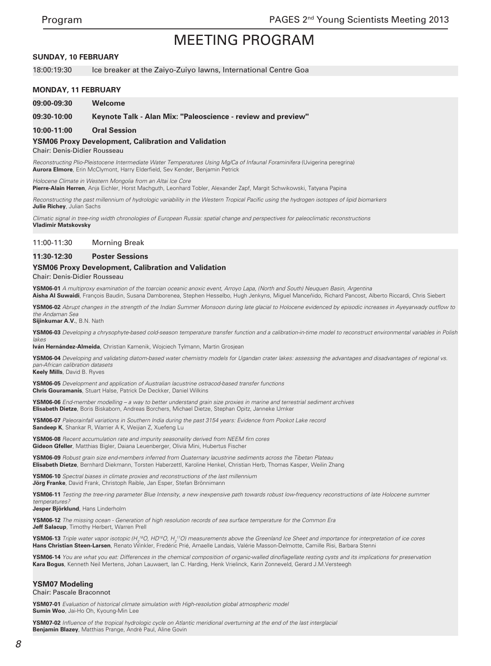#### **SUNDAY, 10 FEBRUARY**

18:00:19:30 Ice breaker at the Zaiyo-Zuiyo lawns, International Centre Goa

#### **MONDAY, 11 FEBRUARY**

**09:00-09:30 Welcome**

**09:30-10:00 Keynote Talk - Alan Mix: "Paleoscience - review and preview"**

#### **10:00-11:00 Oral Session**

**YSM06 Proxy Development, Calibration and Validation**

Chair: Denis-Didier Rousseau

Reconstructing Plio-Pleistocene Intermediate Water Temperatures Using Mg/Ca of Infaunal Foraminifera (Uvigerina peregrina) **Aurora Elmore**, Erin McClymont, Harry Elderfield, Sev Kender, Benjamin Petrick

*Holocene Climate in Western Mongolia from an Altai Ice Core*

**Pierre-Alain Herren**, Anja Eichler, Horst Machguth, Leonhard Tobler, Alexander Zapf, Margit Schwikowski, Tatyana Papina

Reconstructing the past millennium of hydrologic variability in the Western Tropical Pacific using the hydrogen isotopes of lipid biomarkers **Julie Richey**, Julian Sachs

*Climatic signal in tree-ring width chronologies of European Russia: spatial change and perspectives for paleoclimatic reconstructions* **Vladimir Matskovsky**

#### 11:00-11:30 Morning Break

#### **11:30-12:30 Poster Sessions**

#### **YSM06 Proxy Development, Calibration and Validation**

Chair: Denis-Didier Rousseau

**YSM06-01** *A multiproxy examination of the toarcian oceanic anoxic event, Arroyo Lapa, (North and South) Neuquen Basin, Argentina* **Aisha Al Suwaidi**, François Baudin, Susana Damborenea, Stephen Hesselbo, Hugh Jenkyns, Miguel Manceñido, Richard Pancost, Alberto Riccardi, Chris Siebert

**YSM06-02** Abrupt changes in the strength of the Indian Summer Monsoon during late glacial to Holocene evidenced by episodic increases in Ayeyarwady outflow to the Andaman Sea

**Sijinkumar A.V.**, B.N. Nath

**YSM06-03** *Developing a chrysophyte-based cold-season temperature transfer function and a calibration-in-time model to reconstruct environmental variables in Polish*  lakes

**Iván Hernández-Almeida**, Christian Kamenik, Wojciech Tylmann, Martin Grosjean

**YSM06-04** Developing and validating diatom-based water chemistry models for Ugandan crater lakes: assessing the advantages and disadvantages of regional vs. *pan-African calibration datasets*

**Keely Mills**, David B. Ryves

**YSM06-05** *Development and application of Australian lacustrine ostracod-based transfer functions* **Chris Gouramanis**, Stuart Halse, Patrick De Deckker, Daniel Wilkins

**YSM06-06** *End-member modelling – a way to better understand grain size proxies in marine and terrestrial sediment archives* **Elisabeth Dietze**, Boris Biskaborn, Andreas Borchers, Michael Dietze, Stephan Opitz, Janneke IJmker

**YSM06-07** Paleorainfall variations in Southern India during the past 3154 years: Evidence from Pookot Lake record **Sandeep K**, Shankar R, Warrier A K, Weijian Z, Xuefeng Lu

**YSM06-08** Recent accumulation rate and impurity seasonality derived from NEEM firn cores **Gideon Gfeller**, Matthias Bigler, Daiana Leuenberger, Olivia Mini, Hubertus Fischer

**YSM06-09** *Robust grain size end-members inferred from Quaternary lacustrine sediments across the Tibetan Plateau* **Elisabeth Dietze**, Bernhard Diekmann, Torsten Haberzettl, Karoline Henkel, Christian Herb, Thomas Kasper, Weilin Zhang

**YSM06-10** *Spectral biases in climate proxies and reconstructions of the last millennium* **Jörg Franke**, David Frank, Christoph Raible, Jan Esper, Stefan Brönnimann

**YSM06-11** *Testing the tree-ring parameter Blue Intensity, a new inexpensive path towards robust low-frequency reconstructions of late Holocene summer temperatures?*

**Jesper Björklund**, Hans Linderholm

**YSM06-12** *The missing ocean - Generation of high resolution records of sea surface temperature for the Common Era* **Jeff Salacup**, Timothy Herbert, Warren Prell

**YSM06-13** *Triple water vapor isotopic (H<sub>2</sub>18O, HD<sup>16</sup>O, H<sub>2</sub>17O) measurements above the Greenland Ice Sheet and importance for interpretation of ice cores* Hans Christian Steen-Larsen, Renato Winkler, Fredéric Prié, Amaelle Landais, Valérie Masson-Delmotte, Camille Risi, Barbara Stenni

**YSM06-14** You are what you eat: Differences in the chemical composition of organic-walled dinoflagellate resting cysts and its implications for preservation **Kara Bogus**, Kenneth Neil Mertens, Johan Lauwaert, Ian C. Harding, Henk Vrielinck, Karin Zonneveld, Gerard J.M.Versteegh

#### **YSM07 Modeling**

Chair: Pascale Braconnot

**YSM07-01** *Evaluation of historical climate simulation with High-resolution global atmospheric model* **Sumin Woo**, Jai-Ho Oh, Kyoung-Min Lee

**YSM07-02** Influence of the tropical hydrologic cycle on Atlantic meridional overturning at the end of the last interglacial **Benjamin Blazey**, Matthias Prange, Andrè Paul, Aline Govin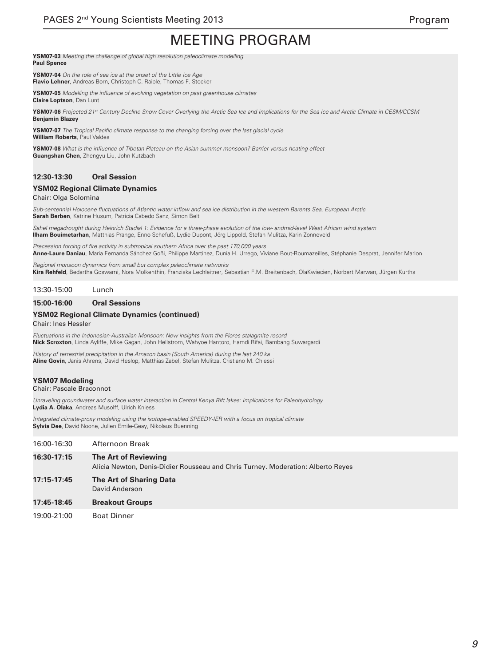**YSM07-03** *Meeting the challenge of global high resolution paleoclimate modelling* **Paul Spence**

**YSM07-04** *On the role of sea ice at the onset of the Little Ice Age* **Flavio Lehner**, Andreas Born, Christoph C. Raible, Thomas F. Stocker

**YSM07-05** Modelling the influence of evolving vegetation on past greenhouse climates **Claire Loptson**, Dan Lunt

**YSM07-06** *Projected 21st Century Decline Snow Cover Overlying the Arctic Sea Ice and Implications for the Sea Ice and Arctic Climate in CESM/CCSM* **Benjamin Blazey**

**YSM07-07** The Tropical Pacific climate response to the changing forcing over the last glacial cycle **William Roberts**, Paul Valdes

**YSM07-08** What is the influence of Tibetan Plateau on the Asian summer monsoon? Barrier versus heating effect **Guangshan Chen**, Zhengyu Liu, John Kutzbach

### **12:30-13:30 Oral Session**

#### **YSM02 Regional Climate Dynamics**

#### Chair: Olga Solomina

Sub-centennial Holocene fluctuations of Atlantic water inflow and sea ice distribution in the western Barents Sea, European Arctic **Sarah Berben**, Katrine Husum, Patricia Cabedo Sanz, Simon Belt

*Sahel megadrought during Heinrich Stadial 1: Evidence for a three-phase evolution of the low- andmid-level West African wind system* **Ilham Bouimetarhan**, Matthias Prange, Enno Schefuß, Lydie Dupont, Jörg Lippold, Stefan Mulitza, Karin Zonneveld

Precession forcing of fire activity in subtropical southern Africa over the past 170,000 years **Anne-Laure Daniau**, Maria Fernanda Sánchez Goñi, Philippe Martinez, Dunia H. Urrego, Viviane Bout-Roumazeilles, Stéphanie Desprat, Jennifer Marlon

Regional monsoon dynamics from small but complex paleoclimate networks **Kira Rehfeld**, Bedartha Goswami, Nora Molkenthin, Franziska Lechleitner, Sebastian F.M. Breitenbach, OlaKwiecien, Norbert Marwan, Jürgen Kurths

13:30-15:00 Lunch

#### **15:00-16:00 Oral Sessions**

#### **YSM02 Regional Climate Dynamics (continued)**

Chair: Ines Hessler

*Fluctuations in the Indonesian-Australian Monsoon: New insights from the Flores stalagmite record* **Nick Scroxton**, Linda Ayliffe, Mike Gagan, John Hellstrom, Wahyoe Hantoro, Hamdi Rifai, Bambang Suwargardi

History of terrestrial precipitation in the Amazon basin (South America) during the last 240 ka **Aline Govin**, Janis Ahrens, David Heslop, Matthias Zabel, Stefan Mulitza, Cristiano M. Chiessi

## **YSM07 Modeling**

#### Chair: Pascale Braconnot

Unraveling groundwater and surface water interaction in Central Kenya Rift lakes: Implications for Paleohydrology **Lydia A. Olaka**, Andreas Musolff, Ulrich Kniess

*Integrated climate-proxy modeling using the isotope-enabled SPEEDY-IER with a focus on tropical climate* **Sylvia Dee**, David Noone, Julien Emile-Geay, Nikolaus Buenning

| 16:00-16:30 | Afternoon Break                                                                                          |
|-------------|----------------------------------------------------------------------------------------------------------|
| 16:30-17:15 | The Art of Reviewing<br>Alicia Newton, Denis-Didier Rousseau and Chris Turney. Moderation: Alberto Reyes |
| 17:15-17:45 | <b>The Art of Sharing Data</b><br>David Anderson                                                         |

#### **17:45-18:45 Breakout Groups**

19:00-21:00 Boat Dinner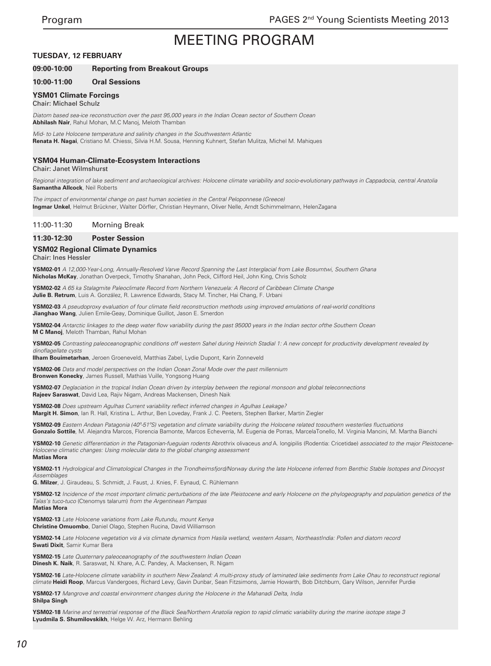#### **TUESDAY, 12 FEBRUARY**

### **09:00-10:00 Reporting from Breakout Groups**

#### **10:00-11:00 Oral Sessions**

#### **YSM01 Climate Forcings**

#### Chair: Michael Schulz

Diatom based sea-ice reconstruction over the past 95,000 years in the Indian Ocean sector of Southern Ocean **Abhilash Nair**, Rahul Mohan, M.C Manoj, Meloth Thamban

*Mid- to Late Holocene temperature and salinity changes in the Southwestern Atlantic* **Renata H. Nagai**, Cristiano M. Chiessi, Silvia H.M. Sousa, Henning Kuhnert, Stefan Mulitza, Michel M. Mahiques

#### **YSM04 Human-Climate-Ecosystem Interactions**

Chair: Janet Wilmshurst

Regional integration of lake sediment and archaeological archives: Holocene climate variability and socio-evolutionary pathways in Cappadocia, central Anatolia **Samantha Allcock**, Neil Roberts

*The impact of environmental change on past human societies in the Central Peloponnese (Greece)* **Ingmar Unkel**, Helmut Brückner, Walter Dörfler, Christian Heymann, Oliver Nelle, Arndt Schimmelmann, HelenZagana

#### 11:00-11:30 Morning Break

#### **11:30-12:30 Poster Session**

### **YSM02 Regional Climate Dynamics**

Chair: Ines Hessler

**YSM02-01** A 12,000-Year-Long, Annually-Resolved Varve Record Spanning the Last Interglacial from Lake Bosumtwi, Southern Ghana **Nicholas McKay**, Jonathan Overpeck, Timothy Shanahan, John Peck, Clifford Heil, John King, Chris Scholz

**YSM02-02** A 65 ka Stalagmite Paleoclimate Record from Northern Venezuela: A Record of Caribbean Climate Change **Julie B. Retrum**, Luis A. González, R. Lawrence Edwards, Stacy M. Tincher, Hai Chang, F. Urbani

**YSM02-03** A pseudoproxy evaluation of four climate field reconstruction methods using improved emulations of real-world conditions **Jianghao Wang**, Julien Emile-Geay, Dominique Guillot, Jason E. Smerdon

**YSM02-04** Antarctic linkages to the deep water flow variability during the past 95000 years in the Indian sector ofthe Southern Ocean **M C Manoj**, Meloth Thamban, Rahul Mohan

**YSM02-05** *Contrasting paleoceanographic conditions off western Sahel during Heinrich Stadial 1: A new concept for productivity development revealed by*  dinoflagellate cysts

**Ilham Bouimetarhan**, Jeroen Groeneveld, Matthias Zabel, Lydie Dupont, Karin Zonneveld

**YSM02-06** *Data and model perspectives on the Indian Ocean Zonal Mode over the past millennium* **Bronwen Konecky**, James Russell, Mathias Vuille, Yongsong Huang

**YSM02-07** *Deglaciation in the tropical Indian Ocean driven by interplay between the regional monsoon and global teleconnections* **Rajeev Saraswat**, David Lea, Rajiv Nigam, Andreas Mackensen, Dinesh Naik

**YSM02-08** Does upstream Agulhas Current variability reflect inferred changes in Agulhas Leakage? **Margit H. Simon**, Ian R. Hall, Kristina L. Arthur, Ben Loveday, Frank J. C. Peeters, Stephen Barker, Martin Ziegler

**YSM02-09** Eastern Andean Patagonia (40º-51ºS) vegetation and climate variability during the Holocene related tosouthern westerlies fluctuations **Gonzalo Sottile**, M. Alejandra Marcos, Florencia Bamonte, Marcos Echeverría, M. Eugenia de Porras, MarcelaTonello, M. Virginia Mancini, M. Martha Bianchi

**YSM02-10** *Genetic differentiation in the Patagonian-fueguian rodents* Abrothrix olivaceus *and* A. longipilis (Rodentia: Cricetidae) *associated to the major Pleistocene-Holocene climatic changes: Using molecular data to the global changing assessment* **Matias Mora**

**YSM02-11** *Hydrological and Climatological Changes in the Trondheimsfjord/Norway during the late Holocene inferred from Benthic Stable Isotopes and Dinocyst Assemblages*

**G. Milzer**, J. Giraudeau, S. Schmidt, J. Faust, J. Knies, F. Eynaud, C. Rühlemann

**YSM02-12** *Incidence of the most important climatic perturbations of the late Pleistocene and early Holocene on the phylogeography and population genetics of the Talas's tuco-tuco* (Ctenomys talarum) *from the Argentinean Pampas* **Matias Mora**

**YSM02-13** Late Holocene variations from Lake Rutundu, mount Kenya **Christine Omuombo**, Daniel Olago, Stephen Rucina, David Williamson

**YSM02-14** *Late Holocene vegetation vis á vis climate dynamics from Hasila wetland, western Assam, NortheastIndia: Pollen and diatom record* **Swati Dixit**, Samir Kumar Bera

**YSM02-15** *Late Quaternary paleoceanography of the southwestern Indian Ocean* **Dinesh K. Naik**, R. Saraswat, N. Khare, A.C. Pandey, A. Mackensen, R. Nigam

**YSM02-16** Late-Holocene climate variability in southern New Zealand: A multi-proxy study of laminated lake sediments from Lake Ohau to reconstruct regional *climate* **Heidi Roop**, Marcus Vandergoes, Richard Levy, Gavin Dunbar, Sean Fitzsimons, Jamie Howarth, Bob Ditchburn, Gary Wilson, Jennifer Purdie

**YSM02-17** *Mangrove and coastal environment changes during the Holocene in the Mahanadi Delta, India* **Shilpa Singh**

**YSM02-18** Marine and terrestrial response of the Black Sea/Northern Anatolia region to rapid climatic variability during the marine isotope stage 3 **Lyudmila S. Shumilovskikh**, Helge W. Arz, Hermann Behling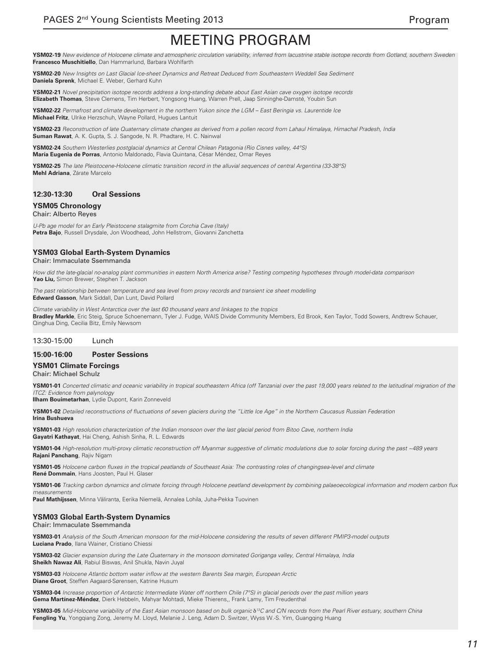**YSM02-19** *New evidence of Holocene climate and atmospheric circulation variability, inferred from lacustrine stable isotope records from Gotland, southern Sweden* **Francesco Muschitiello**, Dan Hammarlund, Barbara Wohlfarth

**YSM02-20** *New Insights on Last Glacial Ice-sheet Dynamics and Retreat Deduced from Southeastern Weddell Sea Sediment* **Daniela Sprenk**, Michael E. Weber, Gerhard Kuhn

**YSM02-21** *Novel precipitation isotope records address a long-standing debate about East Asian cave oxygen isotope records* **Elizabeth Thomas**, Steve Clemens, Tim Herbert, Yongsong Huang, Warren Prell, Jaap Sinninghe-Damsté, Youbin Sun

**YSM02-22** Permafrost and climate development in the northern Yukon since the LGM – East Beringia vs. Laurentide Ice **Michael Fritz**, Ulrike Herzschuh, Wayne Pollard, Hugues Lantuit

**YSM02-23** *Reconstruction of late Quaternary climate changes as derived from a pollen record from Lahaul Himalaya, Himachal Pradesh, India* **Suman Rawat**, A. K. Gupta, S. J. Sangode, N. R. Phadtare, H. C. Nainwal

**YSM02-24** *Southern Westerlies postglacial dynamics at Central Chilean Patagonia (Rio Cisnes valley, 44°S)* **María Eugenia de Porras**, Antonio Maldonado, Flavia Quintana, César Méndez, Omar Reyes

**YSM02-25** *The late Pleistocene-Holocene climatic transition record in the alluvial sequences of central Argentina (33-38°S)* **Mehl Adriana**, Zárate Marcelo

## **12:30-13:30 Oral Sessions**

#### **YSM05 Chronology** Chair: Alberto Reyes

*U-Pb age model for an Early Pleistocene stalagmite from Corchia Cave (Italy)* **Petra Bajo**, Russell Drysdale, Jon Woodhead, John Hellstrom, Giovanni Zanchetta

## **YSM03 Global Earth-System Dynamics**

Chair: Immaculate Ssemmanda

*How did the late-glacial no-analog plant communities in eastern North America arise? Testing competing hypotheses through model-data comparison* **Yao Liu,** Simon Brewer, Stephen T. Jackson

*The past relationship between temperature and sea level from proxy records and transient ice sheet modelling* **Edward Gasson**, Mark Siddall, Dan Lunt, David Pollard

Climate variability in West Antarctica over the last 60 thousand years and linkages to the tropics **Bradley Markle**, Eric Steig, Spruce Schoenemann, Tyler J. Fudge, WAIS Divide Community Members, Ed Brook, Ken Taylor, Todd Sowers, Andtrew Schauer, Qinghua Ding, Cecilia Bitz, Emily Newsom

## 13:30-15:00 Lunch

#### **15:00-16:00 Poster Sessions**

#### **YSM01 Climate Forcings**

Chair: Michael Schulz

**YSM01-01** Concerted climatic and oceanic variability in tropical southeastern Africa (off Tanzania) over the past 19,000 years related to the latitudinal migration of the *ITCZ: Evidence from palynology*

**Ilham Bouimetarhan**, Lydie Dupont, Karin Zonneveld

**YSM01-02** Detailed reconstructions of fluctuations of seven glaciers during the "Little Ice Age" in the Northern Caucasus Russian Federation **Irina Bushueva**

**YSM01-03** *High resolution characterization of the Indian monsoon over the last glacial period from Bitoo Cave, northern India* **Gayatri Kathayat**, Hai Cheng, Ashish Sinha, R. L. Edwards

**YSM01-04** *High-resolution multi-proxy climatic reconstruction off Myanmar suggestive of climatic modulations due to solar forcing during the past ~489 years* **Rajani Panchang**, Rajiv Nigam

**YSM01-05** Holocene carbon fluxes in the tropical peatlands of Southeast Asia: The contrasting roles of changingsea-level and climate **René Dommain**, Hans Joosten, Paul H. Glaser

**YSM01-06** Tracking carbon dynamics and climate forcing through Holocene peatland development by combining palaeoecological information and modern carbon flux *measurements*

**Paul Mathijssen**, Minna Väliranta, Eerika Niemelä, Annalea Lohila, Juha-Pekka Tuovinen

## **YSM03 Global Earth-System Dynamics**

#### Chair: Immaculate Ssemmanda

**YSM03-01** *Analysis of the South American monsoon for the mid-Holocene considering the results of seven different PMIP3-model outputs* **Luciana Prado**, Ilana Wainer, Cristiano Chiessi

**YSM03-02** *Glacier expansion during the Late Quaternary in the monsoon dominated Goriganga valley, Central Himalaya, India* **Sheikh Nawaz Ali**, Rabiul Biswas, Anil Shukla, Navin Juyal

**YSM03-03** Holocene Atlantic bottom water inflow at the western Barents Sea margin, European Arctic **Diane Groot**, Steffen Aagaard-Sørensen, Katrine Husum

**YSM03-04** *Increase proportion of Antarctic Intermediate Water off northern Chile (7°S) in glacial periods over the past million years* **Gema Martínez-Méndez**, Dierk Hebbeln, Mahyar Mohtadi, Mieke Thierens,, Frank Lamy, Tim Freudenthal

**YSM03-05** Mid-Holocene variability of the East Asian monsoon based on bulk organic δ*13C and C/N records from the Pearl River estuary, southern China* **Fengling Yu**, Yongqiang Zong, Jeremy M. Lloyd, Melanie J. Leng, Adam D. Switzer, Wyss W.-S. Yim, Guangqing Huang